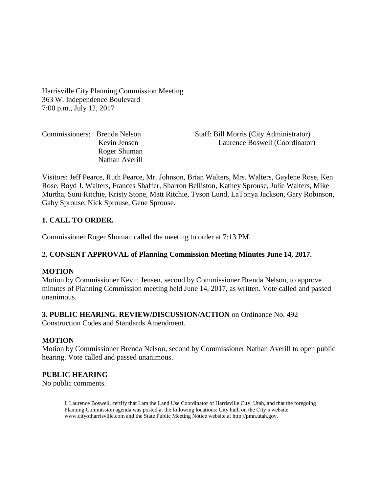Harrisville City Planning Commission Meeting 363 W. Independence Boulevard 7:00 p.m., July 12, 2017

Roger Shuman Nathan Averill

Commissioners: Brenda Nelson Staff: Bill Morris (City Administrator) Kevin Jensen Laurence Boswell (Coordinator)

Visitors: Jeff Pearce, Ruth Pearce, Mr. Johnson, Brian Walters, Mrs. Walters, Gaylene Rose, Ken Rose, Boyd J. Walters, Frances Shaffer, Sharron Belliston, Kathey Sprouse, Julie Walters, Mike Murtha, Suni Ritchie, Kristy Stone, Matt Ritchie, Tyson Lund, LaTonya Jackson, Gary Robinson, Gaby Sprouse, Nick Sprouse, Gene Sprouse.

## **1. CALL TO ORDER.**

Commissioner Roger Shuman called the meeting to order at 7:13 PM.

### **2. CONSENT APPROVAL of Planning Commission Meeting Minutes June 14, 2017.**

### **MOTION**

Motion by Commissioner Kevin Jensen, second by Commissioner Brenda Nelson, to approve minutes of Planning Commission meeting held June 14, 2017, as written. Vote called and passed unanimous.

#### **3. PUBLIC HEARING. REVIEW/DISCUSSION/ACTION** on Ordinance No. 492 –

Construction Codes and Standards Amendment.

### **MOTION**

Motion by Commissioner Brenda Nelson, second by Commissioner Nathan Averill to open public hearing. Vote called and passed unanimous.

### **PUBLIC HEARING**

No public comments.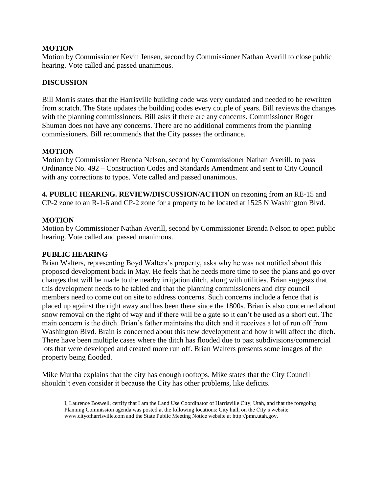## **MOTION**

Motion by Commissioner Kevin Jensen, second by Commissioner Nathan Averill to close public hearing. Vote called and passed unanimous.

## **DISCUSSION**

Bill Morris states that the Harrisville building code was very outdated and needed to be rewritten from scratch. The State updates the building codes every couple of years. Bill reviews the changes with the planning commissioners. Bill asks if there are any concerns. Commissioner Roger Shuman does not have any concerns. There are no additional comments from the planning commissioners. Bill recommends that the City passes the ordinance.

## **MOTION**

Motion by Commissioner Brenda Nelson, second by Commissioner Nathan Averill, to pass Ordinance No. 492 – Construction Codes and Standards Amendment and sent to City Council with any corrections to typos. Vote called and passed unanimous.

**4. PUBLIC HEARING. REVIEW/DISCUSSION/ACTION** on rezoning from an RE-15 and CP-2 zone to an R-1-6 and CP-2 zone for a property to be located at 1525 N Washington Blvd.

## **MOTION**

Motion by Commissioner Nathan Averill, second by Commissioner Brenda Nelson to open public hearing. Vote called and passed unanimous.

### **PUBLIC HEARING**

Brian Walters, representing Boyd Walters's property, asks why he was not notified about this proposed development back in May. He feels that he needs more time to see the plans and go over changes that will be made to the nearby irrigation ditch, along with utilities. Brian suggests that this development needs to be tabled and that the planning commissioners and city council members need to come out on site to address concerns. Such concerns include a fence that is placed up against the right away and has been there since the 1800s. Brian is also concerned about snow removal on the right of way and if there will be a gate so it can't be used as a short cut. The main concern is the ditch. Brian's father maintains the ditch and it receives a lot of run off from Washington Blvd. Brain is concerned about this new development and how it will affect the ditch. There have been multiple cases where the ditch has flooded due to past subdivisions/commercial lots that were developed and created more run off. Brian Walters presents some images of the property being flooded.

Mike Murtha explains that the city has enough rooftops. Mike states that the City Council shouldn't even consider it because the City has other problems, like deficits.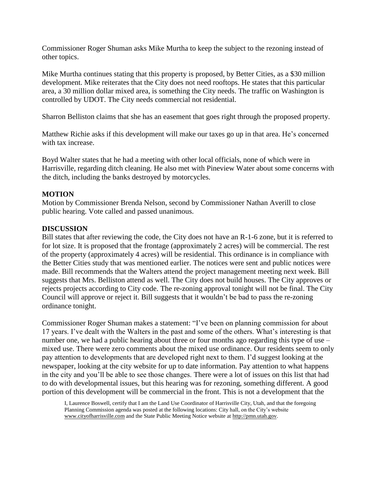Commissioner Roger Shuman asks Mike Murtha to keep the subject to the rezoning instead of other topics.

Mike Murtha continues stating that this property is proposed, by Better Cities, as a \$30 million development. Mike reiterates that the City does not need rooftops. He states that this particular area, a 30 million dollar mixed area, is something the City needs. The traffic on Washington is controlled by UDOT. The City needs commercial not residential.

Sharron Belliston claims that she has an easement that goes right through the proposed property.

Matthew Richie asks if this development will make our taxes go up in that area. He's concerned with tax increase.

Boyd Walter states that he had a meeting with other local officials, none of which were in Harrisville, regarding ditch cleaning. He also met with Pineview Water about some concerns with the ditch, including the banks destroyed by motorcycles.

## **MOTION**

Motion by Commissioner Brenda Nelson, second by Commissioner Nathan Averill to close public hearing. Vote called and passed unanimous.

## **DISCUSSION**

Bill states that after reviewing the code, the City does not have an R-1-6 zone, but it is referred to for lot size. It is proposed that the frontage (approximately 2 acres) will be commercial. The rest of the property (approximately 4 acres) will be residential. This ordinance is in compliance with the Better Cities study that was mentioned earlier. The notices were sent and public notices were made. Bill recommends that the Walters attend the project management meeting next week. Bill suggests that Mrs. Belliston attend as well. The City does not build houses. The City approves or rejects projects according to City code. The re-zoning approval tonight will not be final. The City Council will approve or reject it. Bill suggests that it wouldn't be bad to pass the re-zoning ordinance tonight.

Commissioner Roger Shuman makes a statement: "I've been on planning commission for about 17 years. I've dealt with the Walters in the past and some of the others. What's interesting is that number one, we had a public hearing about three or four months ago regarding this type of use – mixed use. There were zero comments about the mixed use ordinance. Our residents seem to only pay attention to developments that are developed right next to them. I'd suggest looking at the newspaper, looking at the city website for up to date information. Pay attention to what happens in the city and you'll be able to see those changes. There were a lot of issues on this list that had to do with developmental issues, but this hearing was for rezoning, something different. A good portion of this development will be commercial in the front. This is not a development that the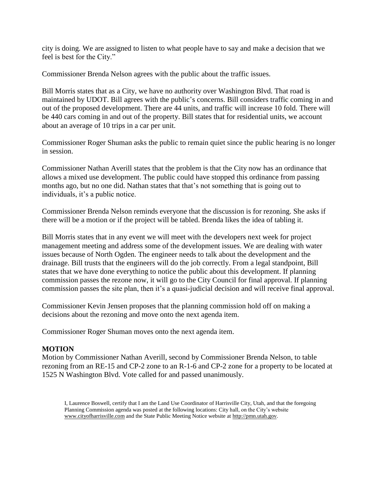city is doing. We are assigned to listen to what people have to say and make a decision that we feel is best for the City."

Commissioner Brenda Nelson agrees with the public about the traffic issues.

Bill Morris states that as a City, we have no authority over Washington Blvd. That road is maintained by UDOT. Bill agrees with the public's concerns. Bill considers traffic coming in and out of the proposed development. There are 44 units, and traffic will increase 10 fold. There will be 440 cars coming in and out of the property. Bill states that for residential units, we account about an average of 10 trips in a car per unit.

Commissioner Roger Shuman asks the public to remain quiet since the public hearing is no longer in session.

Commissioner Nathan Averill states that the problem is that the City now has an ordinance that allows a mixed use development. The public could have stopped this ordinance from passing months ago, but no one did. Nathan states that that's not something that is going out to individuals, it's a public notice.

Commissioner Brenda Nelson reminds everyone that the discussion is for rezoning. She asks if there will be a motion or if the project will be tabled. Brenda likes the idea of tabling it.

Bill Morris states that in any event we will meet with the developers next week for project management meeting and address some of the development issues. We are dealing with water issues because of North Ogden. The engineer needs to talk about the development and the drainage. Bill trusts that the engineers will do the job correctly. From a legal standpoint, Bill states that we have done everything to notice the public about this development. If planning commission passes the rezone now, it will go to the City Council for final approval. If planning commission passes the site plan, then it's a quasi-judicial decision and will receive final approval.

Commissioner Kevin Jensen proposes that the planning commission hold off on making a decisions about the rezoning and move onto the next agenda item.

Commissioner Roger Shuman moves onto the next agenda item.

# **MOTION**

Motion by Commissioner Nathan Averill, second by Commissioner Brenda Nelson, to table rezoning from an RE-15 and CP-2 zone to an R-1-6 and CP-2 zone for a property to be located at 1525 N Washington Blvd. Vote called for and passed unanimously.

I, Laurence Boswell, certify that I am the Land Use Coordinator of Harrisville City, Utah, and that the foregoing Planning Commission agenda was posted at the following locations: City hall, on the City's website www.cityofharrisville.com and the State Public Meeting Notice website at http://pmn.utah.gov.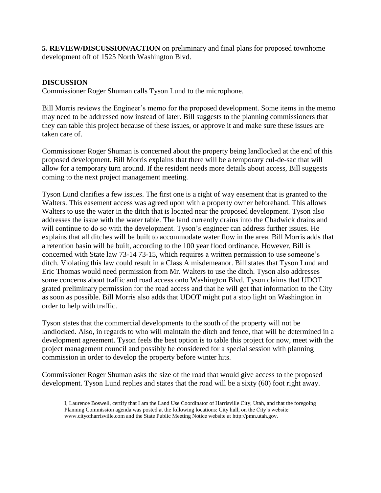**5. REVIEW/DISCUSSION/ACTION** on preliminary and final plans for proposed townhome development off of 1525 North Washington Blvd.

## **DISCUSSION**

Commissioner Roger Shuman calls Tyson Lund to the microphone.

Bill Morris reviews the Engineer's memo for the proposed development. Some items in the memo may need to be addressed now instead of later. Bill suggests to the planning commissioners that they can table this project because of these issues, or approve it and make sure these issues are taken care of.

Commissioner Roger Shuman is concerned about the property being landlocked at the end of this proposed development. Bill Morris explains that there will be a temporary cul-de-sac that will allow for a temporary turn around. If the resident needs more details about access, Bill suggests coming to the next project management meeting.

Tyson Lund clarifies a few issues. The first one is a right of way easement that is granted to the Walters. This easement access was agreed upon with a property owner beforehand. This allows Walters to use the water in the ditch that is located near the proposed development. Tyson also addresses the issue with the water table. The land currently drains into the Chadwick drains and will continue to do so with the development. Tyson's engineer can address further issues. He explains that all ditches will be built to accommodate water flow in the area. Bill Morris adds that a retention basin will be built, according to the 100 year flood ordinance. However, Bill is concerned with State law 73-14 73-15, which requires a written permission to use someone's ditch. Violating this law could result in a Class A misdemeanor. Bill states that Tyson Lund and Eric Thomas would need permission from Mr. Walters to use the ditch. Tyson also addresses some concerns about traffic and road access onto Washington Blvd. Tyson claims that UDOT grated preliminary permission for the road access and that he will get that information to the City as soon as possible. Bill Morris also adds that UDOT might put a stop light on Washington in order to help with traffic.

Tyson states that the commercial developments to the south of the property will not be landlocked. Also, in regards to who will maintain the ditch and fence, that will be determined in a development agreement. Tyson feels the best option is to table this project for now, meet with the project management council and possibly be considered for a special session with planning commission in order to develop the property before winter hits.

Commissioner Roger Shuman asks the size of the road that would give access to the proposed development. Tyson Lund replies and states that the road will be a sixty (60) foot right away.

I, Laurence Boswell, certify that I am the Land Use Coordinator of Harrisville City, Utah, and that the foregoing Planning Commission agenda was posted at the following locations: City hall, on the City's website www.cityofharrisville.com and the State Public Meeting Notice website at http://pmn.utah.gov.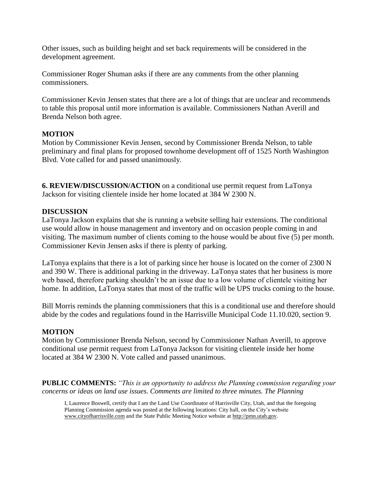Other issues, such as building height and set back requirements will be considered in the development agreement.

Commissioner Roger Shuman asks if there are any comments from the other planning commissioners.

Commissioner Kevin Jensen states that there are a lot of things that are unclear and recommends to table this proposal until more information is available. Commissioners Nathan Averill and Brenda Nelson both agree.

## **MOTION**

Motion by Commissioner Kevin Jensen, second by Commissioner Brenda Nelson, to table preliminary and final plans for proposed townhome development off of 1525 North Washington Blvd. Vote called for and passed unanimously.

**6. REVIEW/DISCUSSION/ACTION** on a conditional use permit request from LaTonya Jackson for visiting clientele inside her home located at 384 W 2300 N.

## **DISCUSSION**

LaTonya Jackson explains that she is running a website selling hair extensions. The conditional use would allow in house management and inventory and on occasion people coming in and visiting. The maximum number of clients coming to the house would be about five (5) per month. Commissioner Kevin Jensen asks if there is plenty of parking.

LaTonya explains that there is a lot of parking since her house is located on the corner of 2300 N and 390 W. There is additional parking in the driveway. LaTonya states that her business is more web based, therefore parking shouldn't be an issue due to a low volume of clientele visiting her home. In addition, LaTonya states that most of the traffic will be UPS trucks coming to the house.

Bill Morris reminds the planning commissioners that this is a conditional use and therefore should abide by the codes and regulations found in the Harrisville Municipal Code 11.10.020, section 9.

# **MOTION**

Motion by Commissioner Brenda Nelson, second by Commissioner Nathan Averill, to approve conditional use permit request from LaTonya Jackson for visiting clientele inside her home located at 384 W 2300 N. Vote called and passed unanimous.

**PUBLIC COMMENTS:** *"This is an opportunity to address the Planning commission regarding your concerns or ideas on land use issues. Comments are limited to three minutes. The Planning*